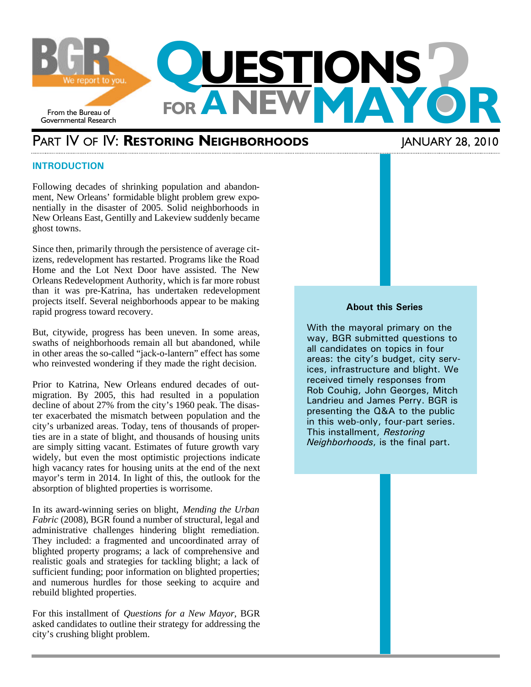

## PART IV OF IV: **RESTORING NEIGHBORHOODS** JANUARY 28, 2010

#### **INTRODUCTION**

Following decades of shrinking population and abandonment, New Orleans' formidable blight problem grew exponentially in the disaster of 2005. Solid neighborhoods in New Orleans East, Gentilly and Lakeview suddenly became ghost towns.

Since then, primarily through the persistence of average citizens, redevelopment has restarted. Programs like the Road Home and the Lot Next Door have assisted. The New Orleans Redevelopment Authority, which is far more robust than it was pre-Katrina, has undertaken redevelopment projects itself. Several neighborhoods appear to be making rapid progress toward recovery.

But, citywide, progress has been uneven. In some areas, swaths of neighborhoods remain all but abandoned, while in other areas the so-called "jack-o-lantern" effect has some who reinvested wondering if they made the right decision.

Prior to Katrina, New Orleans endured decades of outmigration. By 2005, this had resulted in a population decline of about 27% from the city's 1960 peak. The disaster exacerbated the mismatch between population and the city's urbanized areas. Today, tens of thousands of properties are in a state of blight, and thousands of housing units are simply sitting vacant. Estimates of future growth vary widely, but even the most optimistic projections indicate high vacancy rates for housing units at the end of the next mayor's term in 2014. In light of this, the outlook for the absorption of blighted properties is worrisome.

In its award-winning series on blight, *Mending the Urban Fabric* (2008), BGR found a number of structural, legal and administrative challenges hindering blight remediation. They included: a fragmented and uncoordinated array of blighted property programs; a lack of comprehensive and realistic goals and strategies for tackling blight; a lack of sufficient funding; poor information on blighted properties; and numerous hurdles for those seeking to acquire and rebuild blighted properties.

For this installment of *Questions for a New Mayor*, BGR asked candidates to outline their strategy for addressing the city's crushing blight problem.

#### **About this Series**

With the mayoral primary on the way, BGR submitted questions to all candidates on topics in four areas: the city's budget, city services, infrastructure and blight. We received timely responses from Rob Couhig, John Georges, Mitch Landrieu and James Perry. BGR is presenting the Q&A to the public in this web-only, four-part series. This installment, *Restoring Neighborhoods*, is the final part.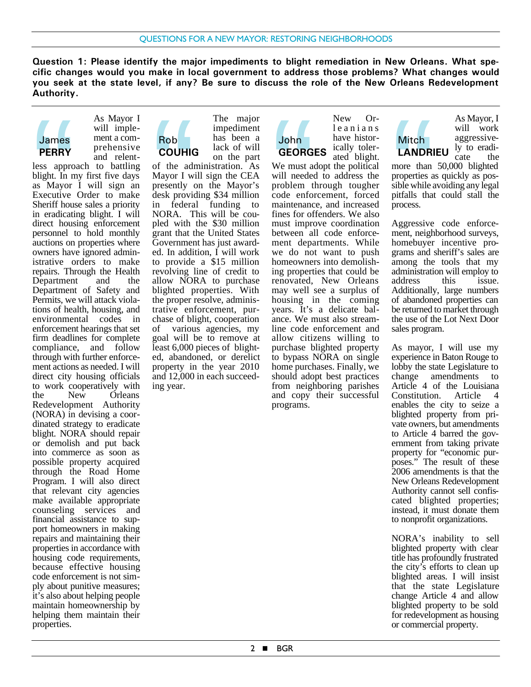**Question 1: Please identify the major impediments to blight remediation in New Orleans. What specific changes would you make in local government to address those problems? What changes would you seek at the state level, if any? Be sure to discuss the role of the New Orleans Redevelopment Authority.**

John



As Mayor I will implement a comprehensive and relent-Rob

less approach to battling blight. In my first five days as Mayor I will sign an Executive Order to make Sheriff house sales a priority in eradicating blight. I will direct housing enforcement personnel to hold monthly auctions on properties where owners have ignored administrative orders to make repairs. Through the Health Department and the Department of Safety and Permits, we will attack violations of health, housing, and environmental codes in enforcement hearings that set firm deadlines for complete compliance, and follow through with further enforcement actions as needed. I will direct city housing officials to work cooperatively with the New Orleans Redevelopment Authority (NORA) in devising a coordinated strategy to eradicate blight. NORA should repair or demolish and put back into commerce as soon as possible property acquired through the Road Home Program. I will also direct that relevant city agencies make available appropriate counseling services and financial assistance to support homeowners in making repairs and maintaining their properties in accordance with housing code requirements, because effective housing code enforcement is not simply about punitive measures; it's also about helping people maintain homeownership by helping them maintain their properties. James<br>
PERRY<br>
less appro<br>
blight. In n<br>
as Mayor<br>
Executive<br>
Sheriff hous<br>
in eradicati<br>
direct hous<br>
nersonnel t



of the administration. As Mayor I will sign the CEA presently on the Mayor's desk providing \$34 million in federal funding to NORA. This will be coupled with the \$30 million grant that the United States Government has just awarded. In addition, I will work to provide a \$15 million revolving line of credit to allow NORA to purchase blighted properties. With the proper resolve, administrative enforcement, purchase of blight, cooperation of various agencies, my goal will be to remove at least 6,000 pieces of blighted, abandoned, or derelict property in the year 2010 and 12,000 in each succeeding year. Rob<br>COUHIC<br>of the adi<br>Mayor I w:<br>presently contained<br>in federal<br>NORA. The with<br>present that the resent

New Orleanians have historically tolerated blight. **GEORGES**

We must adopt the political will needed to address the problem through tougher code enforcement, forced maintenance, and increased fines for offenders. We also must improve coordination between all code enforcement departments. While we do not want to push homeowners into demolishing properties that could be renovated, New Orleans may well see a surplus of housing in the coming years. It's a delicate balance. We must also streamline code enforcement and allow citizens willing to purchase blighted property to bypass NORA on single home purchases. Finally, we should adopt best practices from neighboring parishes and copy their successful programs. John<br>
GEORG<br>
We must a<br>
will needed<br>
problem t<br>
code enform<br>
maintenance<br>
finity improper<br>
hetween also

Mitch<br> **LANDRI**<br>
more than<br>
properties a<br>
sible while a<br>
process.<br>
Aggressive<br>
ment neigh Mitch **LANDRIEU**

As Mayor, I will work aggressively to eradicate the

more than 50,000 blighted properties as quickly as possible while avoiding any legal pitfalls that could stall the process.

Aggressive code enforcement, neighborhood surveys, homebuyer incentive programs and sheriff's sales are among the tools that my administration will employ to<br>address this issue. address this issue. Additionally, large numbers of abandoned properties can be returned to market through the use of the Lot Next Door sales program.

As mayor, I will use my experience in Baton Rouge to lobby the state Legislature to change amendments to Article 4 of the Louisiana<br>Constitution. Article 4 Constitution. Article 4 enables the city to seize a blighted property from private owners, but amendments to Article 4 barred the government from taking private property for "economic purposes." The result of these 2006 amendments is that the New Orleans Redevelopment Authority cannot sell confiscated blighted properties; instead, it must donate them to nonprofit organizations.

NORA's inability to sell blighted property with clear title has profoundly frustrated the city's efforts to clean up blighted areas. I will insist that the state Legislature change Article 4 and allow blighted property to be sold for redevelopment as housing or commercial property.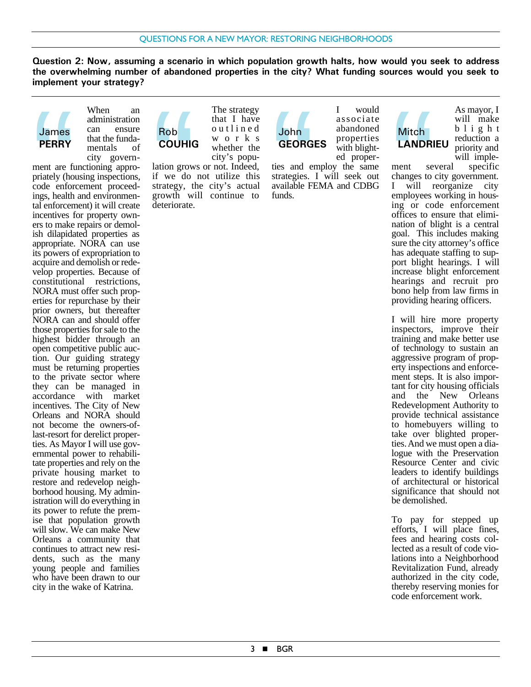**Question 2: Now, assuming a scenario in which population growth halts, how would you seek to address the overwhelming number of abandoned properties in the city? What funding sources would you seek to implement your strategy?**



When an administration can ensure that the fundamentals of city govern-

ment are functioning appropriately (housing inspections, code enforcement proceedings, health and environmental enforcement) it will create incentives for property owners to make repairs or demolish dilapidated properties as appropriate. NORA can use its powers of expropriation to acquire and demolish or redevelop properties. Because of constitutional restrictions, NORA must offer such properties for repurchase by their prior owners, but thereafter NORA can and should offer those properties for sale to the highest bidder through an open competitive public auction. Our guiding strategy must be returning properties to the private sector where they can be managed in accordance with market incentives. The City of New Orleans and NORA should not become the owners-oflast-resort for derelict properties. As Mayor I will use governmental power to rehabilitate properties and rely on the private housing market to restore and redevelop neighborhood housing. My administration will do everything in its power to refute the premise that population growth will slow. We can make New Orleans a community that continues to attract new residents, such as the many young people and families who have been drawn to our city in the wake of Katrina. James<br>
PERRY<br>
ment are fi<br>
priately (ho<br>
code enforcementives f<br>
tal enforcementives f<br>
ers to make

The strategy that I have outlined works whether the city's popu-Rob<br>COUHIC<br>lation grow<br>if we do<br>strategy, tl<br>growth wite<br>deteriorate. Rob **COUHIG**

lation grows or not. Indeed, if we do not utilize this strategy, the city's actual growth will continue to deteriorate.

I would associate abandoned properties with blighted proper-John<br>GEORG<br>ties and entrategies.<br>available Fl<br>funds. John **GEORGES**

ties and employ the same strategies. I will seek out available FEMA and CDBG funds.

# Mitch **LANDRIEU**

As mayor, I will make blight reduction a priority and will imple-

ment several specific changes to city government. I will reorganize city employees working in housing or code enforcement offices to ensure that elimination of blight is a central goal. This includes making sure the city attorney's office has adequate staffing to support blight hearings. I will increase blight enforcement hearings and recruit pro bono help from law firms in providing hearing officers. Mitch<br> **LANDRI**<br>
ment se<br>
changes to<br>
I will remployees<br>
ing or co<br>
offices to e<br>
nation of b

I will hire more property inspectors, improve their training and make better use of technology to sustain an aggressive program of property inspections and enforcement steps. It is also important for city housing officials and the New Orleans Redevelopment Authority to provide technical assistance to homebuyers willing to take over blighted properties. And we must open a dialogue with the Preservation Resource Center and civic leaders to identify buildings of architectural or historical significance that should not be demolished.

To pay for stepped up efforts, I will place fines, fees and hearing costs collected as a result of code violations into a Neighborhood Revitalization Fund, already authorized in the city code, thereby reserving monies for code enforcement work.